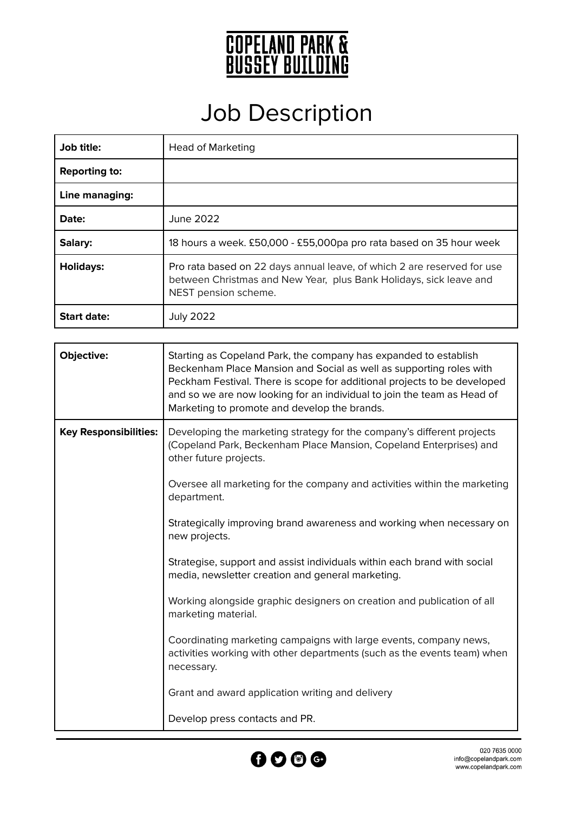

## Job Description

| Job title:           | <b>Head of Marketing</b>                                                                                                                                              |
|----------------------|-----------------------------------------------------------------------------------------------------------------------------------------------------------------------|
| <b>Reporting to:</b> |                                                                                                                                                                       |
| Line managing:       |                                                                                                                                                                       |
| Date:                | June 2022                                                                                                                                                             |
| Salary:              | 18 hours a week. £50,000 - £55,000pa pro rata based on 35 hour week                                                                                                   |
| <b>Holidays:</b>     | Pro rata based on 22 days annual leave, of which 2 are reserved for use<br>between Christmas and New Year, plus Bank Holidays, sick leave and<br>NEST pension scheme. |
| <b>Start date:</b>   | <b>July 2022</b>                                                                                                                                                      |

| Objective:                   | Starting as Copeland Park, the company has expanded to establish<br>Beckenham Place Mansion and Social as well as supporting roles with<br>Peckham Festival. There is scope for additional projects to be developed<br>and so we are now looking for an individual to join the team as Head of<br>Marketing to promote and develop the brands. |
|------------------------------|------------------------------------------------------------------------------------------------------------------------------------------------------------------------------------------------------------------------------------------------------------------------------------------------------------------------------------------------|
| <b>Key Responsibilities:</b> | Developing the marketing strategy for the company's different projects<br>(Copeland Park, Beckenham Place Mansion, Copeland Enterprises) and<br>other future projects.                                                                                                                                                                         |
|                              | Oversee all marketing for the company and activities within the marketing<br>department.                                                                                                                                                                                                                                                       |
|                              | Strategically improving brand awareness and working when necessary on<br>new projects.                                                                                                                                                                                                                                                         |
|                              | Strategise, support and assist individuals within each brand with social<br>media, newsletter creation and general marketing.                                                                                                                                                                                                                  |
|                              | Working alongside graphic designers on creation and publication of all<br>marketing material.                                                                                                                                                                                                                                                  |
|                              | Coordinating marketing campaigns with large events, company news,<br>activities working with other departments (such as the events team) when<br>necessary.                                                                                                                                                                                    |
|                              | Grant and award application writing and delivery                                                                                                                                                                                                                                                                                               |
|                              | Develop press contacts and PR.                                                                                                                                                                                                                                                                                                                 |